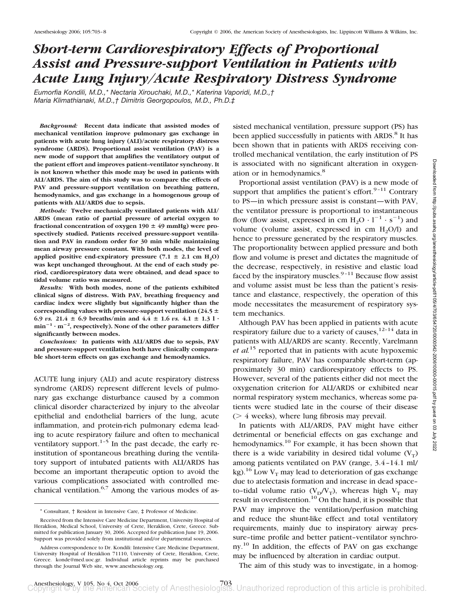# *Short-term Cardiorespiratory Effects of Proportional Assist and Pressure-support Ventilation in Patients with Acute Lung Injury/Acute Respiratory Distress Syndrome*

*Eumorfia Kondili, M.D.,\* Nectaria Xirouchaki, M.D.,\* Katerina Vaporidi, M.D.,† Maria Klimathianaki, M.D.,† Dimitris Georgopoulos, M.D., Ph.D.‡*

*Background:* **Recent data indicate that assisted modes of mechanical ventilation improve pulmonary gas exchange in patients with acute lung injury (ALI)/acute respiratory distress syndrome (ARDS). Proportional assist ventilation (PAV) is a new mode of support that amplifies the ventilatory output of the patient effort and improves patient–ventilator synchrony. It is not known whether this mode may be used in patients with ALI/ARDS. The aim of this study was to compare the effects of PAV and pressure-support ventilation on breathing pattern, hemodynamics, and gas exchange in a homogenous group of patients with ALI/ARDS due to sepsis.**

*Methods:* **Twelve mechanically ventilated patients with ALI/ ARDS (mean ratio of partial pressure of arterial oxygen to fractional concentration of oxygen 190 49 mmHg) were prospectively studied. Patients received pressure-support ventilation and PAV in random order for 30 min while maintaining mean airway pressure constant. With both modes, the level of** applied positive end-expiratory pressure  $(7.1 \pm 2.1 \text{ cm H}_2\text{O})$ **was kept unchanged throughout. At the end of each study period, cardiorespiratory data were obtained, and dead space to tidal volume ratio was measured.**

*Results:* **With both modes, none of the patients exhibited clinical signs of distress. With PAV, breathing frequency and cardiac index were slightly but significantly higher than the corresponding values with pressure-support ventilation (24.5** 6.9 *vs.*  $21.4 \pm 6.9$  breaths/min and  $4.4 \pm 1.6$  *vs.*  $4.1 \pm 1.3$  l · **min**-**<sup>1</sup> · m**-**2 , respectively). None of the other parameters differ significantly between modes.**

*Conclusions:* **In patients with ALI/ARDS due to sepsis, PAV and pressure-support ventilation both have clinically comparable short-term effects on gas exchange and hemodynamics.**

ACUTE lung injury (ALI) and acute respiratory distress syndrome (ARDS) represent different levels of pulmonary gas exchange disturbance caused by a common clinical disorder characterized by injury to the alveolar epithelial and endothelial barriers of the lung, acute inflammation, and protein-rich pulmonary edema leading to acute respiratory failure and often to mechanical ventilatory support. $1-5$  In the past decade, the early reinstitution of spontaneous breathing during the ventilatory support of intubated patients with ALI/ARDS has become an important therapeutic option to avoid the various complications associated with controlled mechanical ventilation. $6,7$  Among the various modes of assisted mechanical ventilation, pressure support (PS) has been applied successfully in patients with ARDS.<sup>8</sup> It has been shown that in patients with ARDS receiving controlled mechanical ventilation, the early institution of PS is associated with no significant alteration in oxygenation or in hemodynamics.<sup>8</sup>

Proportional assist ventilation (PAV) is a new mode of support that amplifies the patient's effort. $9-11$  Contrary to PS—in which pressure assist is constant—with PAV, the ventilator pressure is proportional to instantaneous flow (flow assist, expressed in cm  $H_2O \cdot 1^{-1} \cdot s^{-1}$ ) and volume (volume assist, expressed in  $\text{cm} \ H_2\text{O/l}$ ) and hence to pressure generated by the respiratory muscles. The proportionality between applied pressure and both flow and volume is preset and dictates the magnitude of the decrease, respectively, in resistive and elastic load faced by the inspiratory muscles. $9-11$  Because flow assist and volume assist must be less than the patient's resistance and elastance, respectively, the operation of this mode necessitates the measurement of respiratory system mechanics.

Although PAV has been applied in patients with acute respiratory failure due to a variety of causes,  $12-14$  data in patients with ALI/ARDS are scanty. Recently, Varelmann *et al.*<sup>15</sup> reported that in patients with acute hypoxemic respiratory failure, PAV has comparable short-term (approximately 30 min) cardiorespiratory effects to PS. However, several of the patients either did not meet the oxygenation criterion for ALI/ARDS or exhibited near normal respiratory system mechanics, whereas some patients were studied late in the course of their disease  $($  > 4 weeks), where lung fibrosis may prevail.

In patients with ALI/ARDS, PAV might have either detrimental or beneficial effects on gas exchange and hemodynamics.<sup>10</sup> For example, it has been shown that there is a wide variability in desired tidal volume  $(V_T)$ among patients ventilated on PAV (range, 3.4–14.1 ml/ kg).<sup>16</sup> Low  $V_T$  may lead to deterioration of gas exchange due to atelectasis formation and increase in dead space– to-tidal volume ratio  $(V_D/V_T)$ , whereas high  $V_T$  may result in overdistention.<sup>10</sup> On the hand, it is possible that PAV may improve the ventilation/perfusion matching and reduce the shunt-like effect and total ventilatory requirements, mainly due to inspiratory airway pressure–time profile and better patient–ventilator synchrony.<sup>10</sup> In addition, the effects of PAV on gas exchange may be influenced by alteration in cardiac output.

The aim of this study was to investigate, in a homog-

<sup>\*</sup> Consultant, † Resident in Intensive Care, ‡ Professor of Medicine.

Received from the Intensive Care Medicine Department, University Hospital of Heraklion, Medical School, University of Crete, Heraklion, Crete, Greece. Submitted for publication January 30, 2006. Accepted for publication June 19, 2006. Support was provided solely from institutional and/or departmental sources.

Address correspondence to Dr. Kondili: Intensive Care Medicine Department, University Hospital of Heraklion 71110, University of Crete, Heraklion, Crete, Greece. konde@med.uoc.gr. Individual article reprints may be purchased through the Journal Web site, www.anesthesiology.org.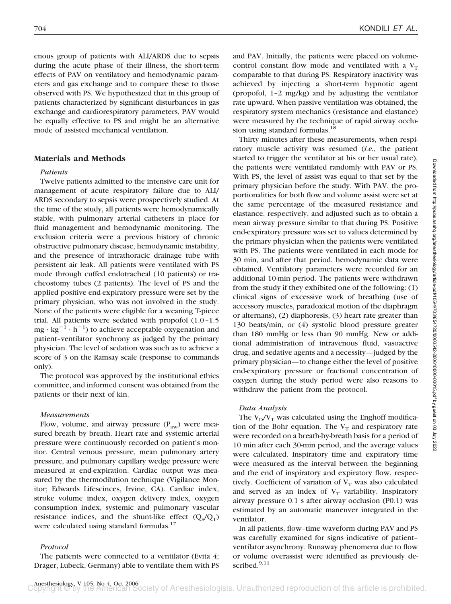enous group of patients with ALI/ARDS due to sepsis during the acute phase of their illness, the short-term effects of PAV on ventilatory and hemodynamic parameters and gas exchange and to compare these to those observed with PS. We hypothesized that in this group of patients characterized by significant disturbances in gas exchange and cardiorespiratory parameters, PAV would be equally effective to PS and might be an alternative mode of assisted mechanical ventilation.

## **Materials and Methods**

#### *Patients*

Twelve patients admitted to the intensive care unit for management of acute respiratory failure due to ALI/ ARDS secondary to sepsis were prospectively studied. At the time of the study, all patients were hemodynamically stable, with pulmonary arterial catheters in place for fluid management and hemodynamic monitoring. The exclusion criteria were a previous history of chronic obstructive pulmonary disease, hemodynamic instability, and the presence of intrathoracic drainage tube with persistent air leak. All patients were ventilated with PS mode through cuffed endotracheal (10 patients) or tracheostomy tubes (2 patients). The level of PS and the applied positive end-expiratory pressure were set by the primary physician, who was not involved in the study. None of the patients were eligible for a weaning T-piece trial. All patients were sedated with propofol (1.0–1.5  $mg \cdot kg^{-1} \cdot h^{-1}$ ) to achieve acceptable oxygenation and patient–ventilator synchrony as judged by the primary physician. The level of sedation was such as to achieve a score of 3 on the Ramsay scale (response to commands only).

The protocol was approved by the institutional ethics committee, and informed consent was obtained from the patients or their next of kin.

#### *Measurements*

Flow, volume, and airway pressure  $(P_{aw})$  were measured breath by breath. Heart rate and systemic arterial pressure were continuously recorded on patient's monitor. Central venous pressure, mean pulmonary artery pressure, and pulmonary capillary wedge pressure were measured at end-expiration. Cardiac output was measured by the thermodilution technique (Vigilance Monitor; Edwards Lifescinces, Irvine, CA). Cardiac index, stroke volume index, oxygen delivery index, oxygen consumption index, systemic and pulmonary vascular resistance indices, and the shunt-like effect  $(Q_s/Q_T)$ were calculated using standard formulas.<sup>17</sup>

#### *Protocol*

The patients were connected to a ventilator (Evita 4; Drager, Lubeck, Germany) able to ventilate them with PS and PAV. Initially, the patients were placed on volumecontrol constant flow mode and ventilated with a  $V_T$ comparable to that during PS. Respiratory inactivity was achieved by injecting a short-term hypnotic agent (propofol, 1–2 mg/kg) and by adjusting the ventilator rate upward. When passive ventilation was obtained, the respiratory system mechanics (resistance and elastance) were measured by the technique of rapid airway occlusion using standard formulas.<sup>18</sup>

Thirty minutes after these measurements, when respiratory muscle activity was resumed (*i.e.*, the patient started to trigger the ventilator at his or her usual rate), the patients were ventilated randomly with PAV or PS. With PS, the level of assist was equal to that set by the primary physician before the study. With PAV, the proportionalities for both flow and volume assist were set at the same percentage of the measured resistance and elastance, respectively, and adjusted such as to obtain a mean airway pressure similar to that during PS. Positive end-expiratory pressure was set to values determined by the primary physician when the patients were ventilated with PS. The patients were ventilated in each mode for 30 min, and after that period, hemodynamic data were obtained. Ventilatory parameters were recorded for an additional 10-min period. The patients were withdrawn from the study if they exhibited one of the following: (1) clinical signs of excessive work of breathing (use of accessory muscles, paradoxical motion of the diaphragm or alternans), (2) diaphoresis, (3) heart rate greater than 130 beats/min, or (4) systolic blood pressure greater than 180 mmHg or less than 90 mmHg. New or additional administration of intravenous fluid, vasoactive drug, and sedative agents and a necessity—judged by the primary physician—to change either the level of positive end-expiratory pressure or fractional concentration of oxygen during the study period were also reasons to withdraw the patient from the protocol.

#### *Data Analysis*

The  $V_D/V_T$  was calculated using the Enghoff modification of the Bohr equation. The  $V_T$  and respiratory rate were recorded on a breath-by-breath basis for a period of 10 min after each 30-min period, and the average values were calculated. Inspiratory time and expiratory time were measured as the interval between the beginning and the end of inspiratory and expiratory flow, respectively. Coefficient of variation of  $V_T$  was also calculated and served as an index of  $V_T$  variability. Inspiratory airway pressure 0.1 s after airway occlusion (P0.1) was estimated by an automatic maneuver integrated in the ventilator.

In all patients, flow–time waveform during PAV and PS was carefully examined for signs indicative of patient– ventilator asynchrony. Runaway phenomena due to flow or volume overassist were identified as previously described.<sup>9,11</sup>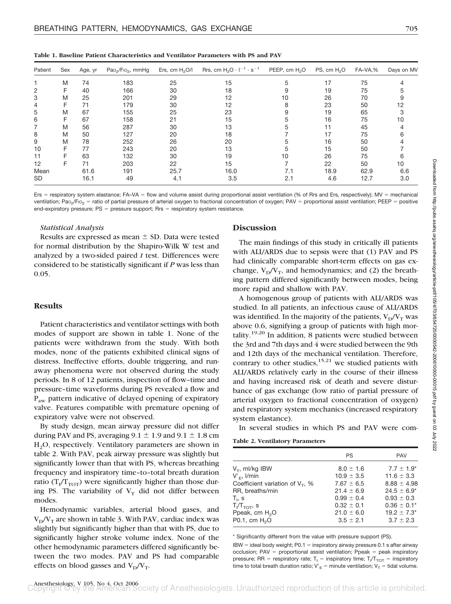| Patient   | Sex | Age, yr | $Pao2/Fio2$ , mmHg | Ers, cm $H2O/I$ | Rrs, cm $H_2O \cdot I^{-1} \cdot s^{-1}$ | PEEP, cm H <sub>2</sub> O | PS, cm $H2O$ | FA-VA,% | Days on MV |
|-----------|-----|---------|--------------------|-----------------|------------------------------------------|---------------------------|--------------|---------|------------|
|           | M   | 74      | 183                | 25              | 15                                       |                           | 17           | 75      |            |
| 2         | F   | 40      | 166                | 30              | 18                                       |                           | 19           | 75      |            |
| 3         | M   | 25      | 201                | 29              | 12                                       | 10                        | 26           | 70      |            |
| 4         | F   | 71      | 179                | 30              | 12                                       | 8                         | 23           | 50      | 12         |
| 5         | M   | 67      | 155                | 25              | 23                                       | 9                         | 19           | 65      |            |
| 6         | F   | 67      | 158                | 21              | 15                                       |                           | 16           | 75      |            |
|           | M   | 56      | 287                | 30              | 13                                       |                           |              | 45      |            |
| 8         | M   | 50      | 127                | 20              | 18                                       |                           | 17           | 75      |            |
| 9         | M   | 78      | 252                | 26              | 20                                       |                           | 16           | 50      |            |
| 10        |     | 77      | 243                | 20              | 13                                       |                           | 15           | 50      |            |
| 11        |     | 63      | 132                | 30              | 19                                       | 10                        | 26           | 75      |            |
| 12        | F   | 71      | 203                | 22              | 15                                       |                           | 22           | 50      | 10         |
| Mean      |     | 61.6    | 191                | 25.7            | 16.0                                     | 7.1                       | 18.9         | 62.9    | 6.6        |
| <b>SD</b> |     | 16.1    | 49                 | 4.1             | 3.5                                      | 2.1                       | 4.6          | 12.7    | 3.0        |

**Table 1. Baseline Patient Characteristics and Ventilator Parameters with PS and PAV**

Ers = respiratory system elastance; FA–VA = flow and volume assist during proportional assist ventilation (% of Rrs and Ers, respectively); MV = mechanical ventilation; Pao<sub>2</sub>/Fio<sub>2</sub> = ratio of partial pressure of arterial oxygen to fractional concentration of oxygen; PAV = proportional assist ventilation; PEEP = positive end-expiratory pressure;  $PS = pressure$  support;  $Rrs = respiratory$  system resistance.

## *Statistical Analysis*

Results are expressed as mean  $\pm$  SD. Data were tested for normal distribution by the Shapiro-Wilk W test and analyzed by a two-sided paired *t* test. Differences were considered to be statistically significant if *P* was less than 0.05.

# **Results**

Patient characteristics and ventilator settings with both modes of support are shown in table 1. None of the patients were withdrawn from the study. With both modes, none of the patients exhibited clinical signs of distress. Ineffective efforts, double triggering, and runaway phenomena were not observed during the study periods. In 8 of 12 patients, inspection of flow–time and pressure–time waveforms during PS revealed a flow and P<sub>aw</sub> pattern indicative of delayed opening of expiratory valve. Features compatible with premature opening of expiratory valve were not observed.

By study design, mean airway pressure did not differ during PAV and PS, averaging  $9.1 \pm 1.9$  and  $9.1 \pm 1.8$  cm H2O, respectively. Ventilatory parameters are shown in table 2. With PAV, peak airway pressure was slightly but significantly lower than that with PS, whereas breathing frequency and inspiratory time–to–total breath duration ratio ( $T_I/T_{TOT}$ ) were significantly higher than those during PS. The variability of  $V_T$  did not differ between modes.

Hemodynamic variables, arterial blood gases, and  $V_D/V_T$  are shown in table 3. With PAV, cardiac index was slightly but significantly higher than that with PS, due to significantly higher stroke volume index. None of the other hemodynamic parameters differed significantly between the two modes. PAV and PS had comparable effects on blood gasses and  $V_D/V_T$ .

## **Discussion**

The main findings of this study in critically ill patients with ALI/ARDS due to sepsis were that (1) PAV and PS had clinically comparable short-term effects on gas exchange,  $V_D/V_T$ , and hemodynamics; and (2) the breathing pattern differed significantly between modes, being more rapid and shallow with PAV.

A homogenous group of patients with ALI/ARDS was studied. In all patients, an infectious cause of ALI/ARDS was identified. In the majority of the patients,  $V_D/V_T$  was above 0.6, signifying a group of patients with high mortality.<sup>19,20</sup> In addition, 8 patients were studied between the 3rd and 7th days and 4 were studied between the 9th and 12th days of the mechanical ventilation. Therefore, contrary to other studies,  $15,21$  we studied patients with ALI/ARDS relatively early in the course of their illness and having increased risk of death and severe disturbance of gas exchange (low ratio of partial pressure of arterial oxygen to fractional concentration of oxygen) and respiratory system mechanics (increased respiratory system elastance).

In several studies in which PS and PAV were com-

**Table 2. Ventilatory Parameters**

| PS             | <b>PAV</b>       |
|----------------|------------------|
| $8.0 \pm 1.6$  | $7.7 \pm 1.9^*$  |
| $10.9 \pm 3.5$ | $11.6 \pm 3.3$   |
| $7.67 \pm 6.5$ | $8.88 \pm 4.98$  |
| $21.4 \pm 6.9$ | $24.5 \pm 6.9^*$ |
| $0.99 \pm 0.4$ | $0.93 \pm 0.3$   |
| $0.32 \pm 0.1$ | $0.36 \pm 0.1^*$ |
| $21.0 \pm 6.0$ | $19.2 \pm 7.3^*$ |
| $3.5 \pm 2.1$  | $3.7 \pm 2.3$    |
|                |                  |

\* Significantly different from the value with pressure support (PS).

 $IBW = ideal body weight;  $PO.1 = inspiratory airway$  pressure  $0.1$  s after airway$ occlusion; PAV = proportional assist ventilation; Ppeak = peak inspiratory pressure; RR = respiratory rate;  $T_1$  = inspiratory time;  $T_1/T_{TOT}$  = inspiratory time to total breath duration ratio;  $V'_E =$  minute ventilation;  $V_T =$  tidal volume.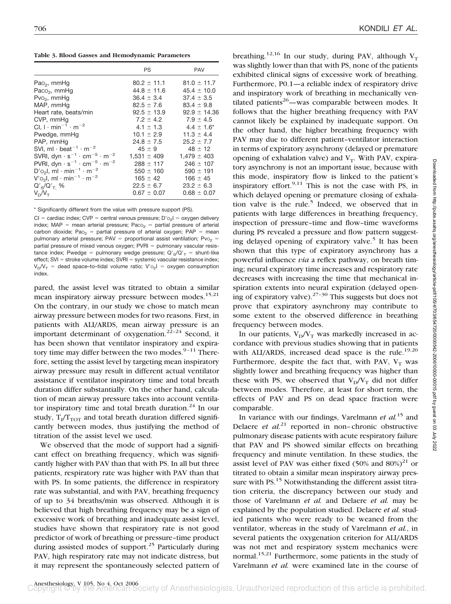**Table 3. Blood Gasses and Hemodynamic Parameters**

|                                                                                    | <b>PS</b>       | <b>PAV</b>      |
|------------------------------------------------------------------------------------|-----------------|-----------------|
| $PaO2$ , mmHg                                                                      | $80.2 \pm 11.1$ | $81.0 \pm 11.7$ |
| Paco <sub>2</sub> , mmHg                                                           | $44.8 \pm 11.6$ | $45.4 \pm 10.0$ |
| $Pvo2$ , mmHq                                                                      | $36.4 \pm 3.4$  | $37.4 \pm 3.5$  |
| MAP, mmHq                                                                          | $82.5 \pm 7.6$  | $83.4 \pm 9.8$  |
| Heart rate, beats/min                                                              | $92.5 + 13.9$   | $92.9 + 14.36$  |
| CVP, mmHq                                                                          | $7.2 + 4.2$     | $7.9 + 4.5$     |
| Cl. $1 \cdot min^{-1} \cdot m^{-2}$                                                | $4.1 \pm 1.3$   | $4.4 \pm 1.6^*$ |
| Pwedge, mmHg                                                                       | $10.1 \pm 2.9$  | $11.3 + 4.4$    |
| PAP, mmHq                                                                          | $24.8 \pm 7.5$  | $25.2 + 7.7$    |
| SVI, ml $\cdot$ beat <sup>-1</sup> $\cdot$ m <sup>-2</sup>                         | $45 \pm 9$      | $48 \pm 12$     |
| SVRI, dyn $\cdot$ s <sup>-1</sup> $\cdot$ cm <sup>-5</sup> $\cdot$ m <sup>-2</sup> | $1,531 \pm 409$ | $1,479 \pm 403$ |
| PVRI, dyn $\cdot$ s <sup>-1</sup> $\cdot$ cm <sup>-5</sup> $\cdot$ m <sup>-2</sup> | $288 \pm 117$   | $246 \pm 107$   |
| $D'_{o_2}$ l, ml · min <sup>-1</sup> · m <sup>-2</sup>                             | $550 \pm 160$   | $590 \pm 191$   |
| $V'_{o_2}$ l, ml · min <sup>-1</sup> · m <sup>-2</sup>                             | $165 \pm 42$    | $166 \pm 45$    |
| $Q'_{S}/Q'_{T}$ %                                                                  | $22.5 \pm 6.7$  | $23.2 \pm 6.3$  |
| $V_D/V_T$                                                                          | $0.67 \pm 0.07$ | $0.68 \pm 0.07$ |

\* Significantly different from the value with pressure support (PS).

CI = cardiac index; CVP = central venous pressure;  $D'_{2}$  = oxygen delivery index; MAP = mean arterial pressure; Paco<sub>2</sub> = partial pressure of arterial carbon dioxide; Pao<sub>2</sub> = partial pressure of arterial oxygen; PAP = mean pulmonary arterial pressure; PAV = proportional assist ventilation; Pvo<sub>2</sub> = partial pressure of mixed venous oxygen;  $PVRI =$  pulmonary vascular resistance index; Pwedge = pulmonary wedge pressure;  $Q'_{S}/Q'_{T}$  = shunt-like effect; SVI = stroke volume index; SVRI = systemic vascular resistance index;  $V_D/V_T$  = dead space-to-tidal volume ratio;  $V'o_2I$  = oxygen consumption index.

pared, the assist level was titrated to obtain a similar mean inspiratory airway pressure between modes.<sup>15,21</sup> On the contrary, in our study we chose to match mean airway pressure between modes for two reasons. First, in patients with ALI/ARDS, mean airway pressure is an important determinant of oxygenation.<sup>22-24</sup> Second, it has been shown that ventilator inspiratory and expiratory time may differ between the two modes. $9-11$  Therefore, setting the assist level by targeting mean inspiratory airway pressure may result in different actual ventilator assistance if ventilator inspiratory time and total breath duration differ substantially. On the other hand, calculation of mean airway pressure takes into account ventilator inspiratory time and total breath duration.<sup>24</sup> In our study,  $T_I/T_{TOT}$  and total breath duration differed significantly between modes, thus justifying the method of titration of the assist level we used.

We observed that the mode of support had a significant effect on breathing frequency, which was significantly higher with PAV than that with PS. In all but three patients, respiratory rate was higher with PAV than that with PS. In some patients, the difference in respiratory rate was substantial, and with PAV, breathing frequency of up to 34 breaths/min was observed. Although it is believed that high breathing frequency may be a sign of excessive work of breathing and inadequate assist level, studies have shown that respiratory rate is not good predictor of work of breathing or pressure–time product during assisted modes of support.<sup>25</sup> Particularly during PAV, high respiratory rate may not indicate distress, but it may represent the spontaneously selected pattern of breathing.<sup>12,16</sup> In our study, during PAV, although  $V_T$ was slightly lower than that with PS, none of the patients exhibited clinical signs of excessive work of breathing. Furthermore, P0.1—a reliable index of respiratory drive and inspiratory work of breathing in mechanically ventilated patients<sup>26</sup>—was comparable between modes. It follows that the higher breathing frequency with PAV cannot likely be explained by inadequate support. On the other hand, the higher breathing frequency with PAV may due to different patient–ventilator interaction in terms of expiratory asynchrony (delayed or premature opening of exhalation valve) and  $V_T$ . With PAV, expiratory asynchrony is not an important issue, because with this mode, inspiratory flow is linked to the patient's inspiratory effort. $9,11$  This is not the case with PS, in which delayed opening or premature closing of exhalation valve is the rule. $5$  Indeed, we observed that in patients with large differences in breathing frequency, inspection of pressure–time and flow–time waveforms during PS revealed a pressure and flow pattern suggesting delayed opening of expiratory valve.<sup>5</sup> It has been shown that this type of expiratory asynchrony has a powerful influence *via* a reflex pathway, on breath timing; neural expiratory time increases and respiratory rate decreases with increasing the time that mechanical inspiration extents into neural expiration (delayed opening of expiratory valve).<sup>27-30</sup> This suggests but does not prove that expiratory asynchrony may contribute to some extent to the observed difference in breathing frequency between modes.

In our patients,  $V_D/V_T$  was markedly increased in accordance with previous studies showing that in patients with ALI/ARDS, increased dead space is the rule.<sup>19,20</sup> Furthermore, despite the fact that, with PAV,  $V_T$  was slightly lower and breathing frequency was higher than these with PS, we observed that  $V_D/V_T$  did not differ between modes. Therefore, at least for short term, the effects of PAV and PS on dead space fraction were comparable.

In variance with our findings, Varelmann *et al.*<sup>15</sup> and Delaere *et al.*<sup>21</sup> reported in non-chronic obstructive pulmonary disease patients with acute respiratory failure that PAV and PS showed similar effects on breathing frequency and minute ventilation. In these studies, the assist level of PAV was either fixed  $(50\%$  and  $80\%)^{21}$  or titrated to obtain a similar mean inspiratory airway pressure with PS.<sup>15</sup> Notwithstanding the different assist titration criteria, the discrepancy between our study and those of Varelmann *et al.* and Delaere *et al.* may be explained by the population studied. Delaere *et al.* studied patients who were ready to be weaned from the ventilator, whereas in the study of Varelmann *et al.*, in several patients the oxygenation criterion for ALI/ARDS was not met and respiratory system mechanics were normal.<sup>15,21</sup> Furthermore, some patients in the study of Varelmann *et al.* were examined late in the course of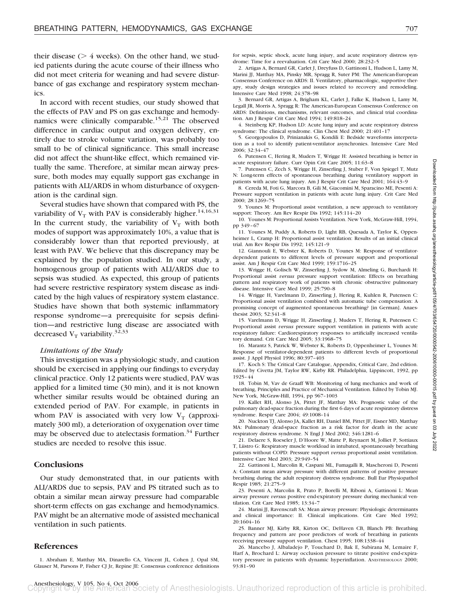their disease  $($  > 4 weeks). On the other hand, we studied patients during the acute course of their illness who did not meet criteria for weaning and had severe disturbance of gas exchange and respiratory system mechanics.

In accord with recent studies, our study showed that the effects of PAV and PS on gas exchange and hemodynamics were clinically comparable.<sup>15,21</sup> The observed difference in cardiac output and oxygen delivery, entirely due to stroke volume variation, was probably too small to be of clinical significance. This small increase did not affect the shunt-like effect, which remained virtually the same. Therefore, at similar mean airway pressure, both modes may equally support gas exchange in patients with ALI/ARDS in whom disturbance of oxygenation is the cardinal sign.

Several studies have shown that compared with PS, the variability of  $V_T$  with PAV is considerably higher.<sup>14,16,31</sup> In the current study, the variability of  $V_T$  with both modes of support was approximately 10%, a value that is considerably lower than that reported previously, at least with PAV. We believe that this discrepancy may be explained by the population studied. In our study, a homogenous group of patients with ALI/ARDS due to sepsis was studied. As expected, this group of patients had severe restrictive respiratory system disease as indicated by the high values of respiratory system elastance. Studies have shown that both systemic inflammatory response syndrome—a prerequisite for sepsis definition—and restrictive lung disease are associated with decreased  $V_T$  variability.<sup>32,33</sup>

#### *Limitations of the Study*

This investigation was a physiologic study, and caution should be exercised in applying our findings to everyday clinical practice. Only 12 patients were studied, PAV was applied for a limited time (30 min), and it is not known whether similar results would be obtained during an extended period of PAV. For example, in patients in whom PAV is associated with very low  $V_T$  (approximately 300 ml), a deterioration of oxygenation over time may be observed due to atelectasis formation.<sup>34</sup> Further studies are needed to resolve this issue.

### **Conclusions**

Our study demonstrated that, in our patients with ALI/ARDS due to sepsis, PAV and PS titrated such as to obtain a similar mean airway pressure had comparable short-term effects on gas exchange and hemodynamics. PAV might be an alternative mode of assisted mechanical ventilation in such patients.

## **References**

1. Abraham E, Matthay MA, Dinarello CA, Vincent JL, Cohen J, Opal SM, Glauser M, Parsons P, Fisher CJ Jr, Repine JE: Consensus conference definitions

for sepsis, septic shock, acute lung injury, and acute respiratory distress syndrome: Time for a reevaluation. Crit Care Med 2000; 28:232–5

2. Artigas A, Bernard GR, Carlet J, Dreyfuss D, Gattinoni L, Hudson L, Lamy M, Marini JJ, Matthay MA, Pinsky MR, Spragg R, Suter PM: The American-European Consensus Conference on ARDS: II. Ventilatory, pharmacologic, supportive therapy, study design strategies and issues related to recovery and remodeling. Intensive Care Med 1998; 24:378–98

3. Bernard GR, Artigas A, Brigham KL, Carlet J, Falke K, Hudson L, Lamy M, Legall JR, Morris A, Spragg R: The American-European Consensus Conference on ARDS: Definitions, mechanisms, relevant outcomes, and clinical trial coordination. Am J Respir Crit Care Med 1994; 149:818–24

4. Steinberg KP, Hudson LD: Acute lung injury and acute respiratory distress syndrome: The clinical syndrome. Clin Chest Med 2000; 21:401–17

5. Georgopoulos D, Prinianakis G, Kondili E: Bedside waveforms interpretation as a tool to identify patient-ventilator asynchronies. Intensive Care Med 2006; 32:34–47

6. Putensen C, Hering R, Muders T, Wrigge H: Assisted breathing is better in acute respiratory failure. Curr Opin Crit Care 2005; 11:63–8

7. Putensen C, Zech S, Wrigge H, Zinserling J, Stuber F, Von Spiegel T, Mutz N: Long-term effects of spontaneous breathing during ventilatory support in patients with acute lung injury. Am J Respir Crit Care Med 2001; 164:43–9

8. Cereda M, Foti G, Marcora B, Gili M, Giacomini M, Sparacino ME, Pesenti A: Pressure support ventilation in patients with acute lung injury. Crit Care Med 2000; 28:1269–75

9. Younes M: Proportional assist ventilation, a new approach to ventilatory support: Theory. Am Rev Respir Dis 1992; 145:114–20

10. Younes M: Proportional Assists Ventilation. New York, McGraw-Hill, 1994, pp 349–67

11. Younes M, Puddy A, Roberts D, Light RB, Quesada A, Taylor K, Oppenheimer L, Cramp H: Proportional assist ventilation: Results of an initial clinical trial. Am Rev Respir Dis 1992; 145:121–9

12. Giannouli E, Webster K, Roberts D, Younes M: Response of ventilatordependent patients to different levels of pressure support and proportional assist. Am J Respir Crit Care Med 1999; 159:1716–25

13. Wrigge H, Golisch W, Zinserling J, Sydow M, Almeling G, Burchardi H: Proportional assist *versus* pressure support ventilation: Effects on breathing pattern and respiratory work of patients with chronic obstructive pulmonary disease. Intensive Care Med 1999; 25:790–8

14. Wrigge H, Varelmann D, Zinserling J, Hering R, Kuhlen R, Putensen C: Proportional assist ventilation combined with automatic tube compensation: A promising concept of augmented spontaneous breathing? [in German]. Anaesthesist 2003; 52:341–8

15. Varelmann D, Wrigge H, Zinserling J, Muders T, Hering R, Putensen C: Proportional assist *versus* pressure support ventilation in patients with acute respiratory failure: Cardiorespiratory responses to artificially increased ventilatory demand. Crit Care Med 2005; 33:1968–75

16. Marantz S, Patrick W, Webster K, Roberts D, Oppenheimer L, Younes M: Response of ventilator-dependent patients to different levels of proportional assist. J Appl Physiol 1996; 80:397–403

17. Koch S: The Critical Care Catalogue, Appendix, Critical Care, 2nd edition. Edited by Civetta JM, Taylor RW, Kirby RR. Philadelphia, Lippincott, 1992, pp 1925–44

18. Tobin M, Vav de Graaff WB: Monitoring of lung mechanics and work of breathing, Principles and Practice of Mechanical Ventilation. Edited by Tobin MJ. New York, McGraw-Hill, 1994, pp 967–1003

19. Kallet RH, Alonso JA, Pittet JF, Matthay MA: Prognostic value of the pulmonary dead-space fraction during the first 6 days of acute respiratory distress syndrome. Respir Care 2004; 49:1008–14

20. Nuckton TJ, Alonso JA, Kallet RH, Daniel BM, Pittet JF, Eisner MD, Matthay MA: Pulmonary dead-space fraction as a risk factor for death in the acute respiratory distress syndrome. N Engl J Med 2002; 346:1281–6

21. Delaere S, Roeseler J, D'Hoore W, Matte P, Reynaert M, Jolliet P, Sottiaux T, Liistro G: Respiratory muscle workload in intubated, spontaneously breathing patients without COPD: Pressure support *versus* proportional assist ventilation. Intensive Care Med 2003; 29:949–54

22. Gattinoni L, Marcolin R, Caspani ML, Fumagalli R, Mascheroni D, Pesenti A: Constant mean airway pressure with different patterns of positive pressure breathing during the adult respiratory distress syndrome. Bull Eur Physiopathol Respir 1985; 21:275–9

23. Pesenti A, Marcolin R, Prato P, Borelli M, Riboni A, Gattinoni L: Mean airway pressure *versus* positive end-expiratory pressure during mechanical ventilation. Crit Care Med 1985; 13:34–7

24. Marini JJ, Ravenscraft SA: Mean airway pressure: Physiologic determinants and clinical importance: II. Clinical implications. Crit Care Med 1992; 20:1604–16

25. Banner MJ, Kirby RR, Kirton OC, DeHaven CB, Blanch PB: Breathing frequency and pattern are poor predictors of work of breathing in patients receiving pressure support ventilation. Chest 1995; 108:1338–44

26. Mancebo J, Albaladejo P, Touchard D, Bak E, Subirana M, Lemaire F, Harf A, Brochard L: Airway occlusion pressure to titrate positive end-expiratory pressure in patients with dynamic hyperinflation. ANESTHESIOLOGY 2000; 93:81–90